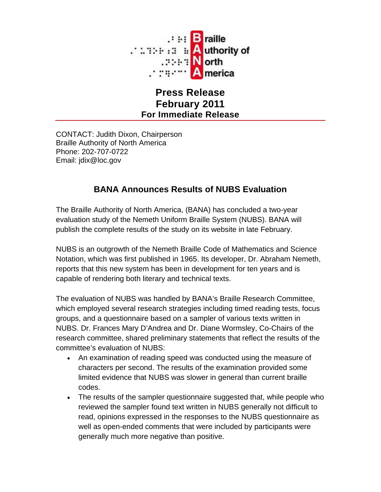

## **Press Release February 2011 For Immediate Release**

CONTACT: Judith Dixon, Chairperson Braille Authority of North America Phone: 202-707-0722 Email: jdix@loc.gov

## **BANA Announces Results of NUBS Evaluation**

The Braille Authority of North America, (BANA) has concluded a two-year evaluation study of the Nemeth Uniform Braille System (NUBS). BANA will publish the complete results of the study on its website in late February.

NUBS is an outgrowth of the Nemeth Braille Code of Mathematics and Science Notation, which was first published in 1965. Its developer, Dr. Abraham Nemeth, reports that this new system has been in development for ten years and is capable of rendering both literary and technical texts.

The evaluation of NUBS was handled by BANA's Braille Research Committee, which employed several research strategies including timed reading tests, focus groups, and a questionnaire based on a sampler of various texts written in NUBS. Dr. Frances Mary D'Andrea and Dr. Diane Wormsley, Co-Chairs of the research committee, shared preliminary statements that reflect the results of the committee's evaluation of NUBS:

- An examination of reading speed was conducted using the measure of characters per second. The results of the examination provided some limited evidence that NUBS was slower in general than current braille codes.
- The results of the sampler questionnaire suggested that, while people who reviewed the sampler found text written in NUBS generally not difficult to read, opinions expressed in the responses to the NUBS questionnaire as well as open-ended comments that were included by participants were generally much more negative than positive.